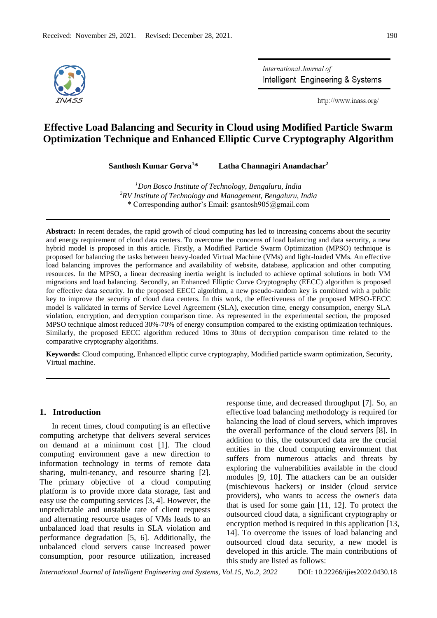

International Journal of Intelligent Engineering & Systems

http://www.inass.org/

# **Effective Load Balancing and Security in Cloud using Modified Particle Swarm Optimization Technique and Enhanced Elliptic Curve Cryptography Algorithm**

**Santhosh Kumar Gorva<sup>1</sup>\* Latha Channagiri Anandachar<sup>2</sup>**

*<sup>1</sup>Don Bosco Institute of Technology, Bengaluru, India <sup>2</sup>RV Institute of Technology and Management, Bengaluru, India* \* Corresponding author's Email: gsantosh905@gmail.com

**Abstract:** In recent decades, the rapid growth of cloud computing has led to increasing concerns about the security and energy requirement of cloud data centers. To overcome the concerns of load balancing and data security, a new hybrid model is proposed in this article. Firstly, a Modified Particle Swarm Optimization (MPSO) technique is proposed for balancing the tasks between heavy-loaded Virtual Machine (VMs) and light-loaded VMs. An effective load balancing improves the performance and availability of website, database, application and other computing resources. In the MPSO, a linear decreasing inertia weight is included to achieve optimal solutions in both VM migrations and load balancing. Secondly, an Enhanced Elliptic Curve Cryptography (EECC) algorithm is proposed for effective data security. In the proposed EECC algorithm, a new pseudo-random key is combined with a public key to improve the security of cloud data centers. In this work, the effectiveness of the proposed MPSO-EECC model is validated in terms of Service Level Agreement (SLA), execution time, energy consumption, energy SLA violation, encryption, and decryption comparison time. As represented in the experimental section, the proposed MPSO technique almost reduced 30%-70% of energy consumption compared to the existing optimization techniques. Similarly, the proposed EECC algorithm reduced 10ms to 30ms of decryption comparison time related to the comparative cryptography algorithms.

**Keywords:** Cloud computing, Enhanced elliptic curve cryptography, Modified particle swarm optimization, Security, Virtual machine.

## **1. Introduction**

In recent times, cloud computing is an effective computing archetype that delivers several services on demand at a minimum cost [1]. The cloud computing environment gave a new direction to information technology in terms of remote data sharing, multi-tenancy, and resource sharing [2]. The primary objective of a cloud computing platform is to provide more data storage, fast and easy use the computing services [3, 4]. However, the unpredictable and unstable rate of client requests and alternating resource usages of VMs leads to an unbalanced load that results in SLA violation and performance degradation [5, 6]. Additionally, the unbalanced cloud servers cause increased power consumption, poor resource utilization, increased response time, and decreased throughput [7]. So, an effective load balancing methodology is required for balancing the load of cloud servers, which improves the overall performance of the cloud servers [8]. In addition to this, the outsourced data are the crucial entities in the cloud computing environment that suffers from numerous attacks and threats by exploring the vulnerabilities available in the cloud modules [9, 10]. The attackers can be an outsider (mischievous hackers) or insider (cloud service providers), who wants to access the owner's data that is used for some gain [11, 12]. To protect the outsourced cloud data, a significant cryptography or encryption method is required in this application [13, 14]. To overcome the issues of load balancing and outsourced cloud data security, a new model is developed in this article. The main contributions of this study are listed as follows: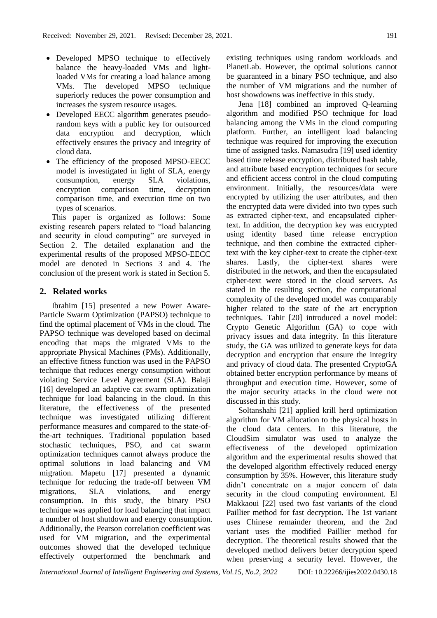- Developed MPSO technique to effectively balance the heavy-loaded VMs and lightloaded VMs for creating a load balance among VMs. The developed MPSO technique superiorly reduces the power consumption and increases the system resource usages.
- Developed EECC algorithm generates pseudorandom keys with a public key for outsourced data encryption and decryption, which effectively ensures the privacy and integrity of cloud data.
- The efficiency of the proposed MPSO-EECC model is investigated in light of SLA, energy consumption, energy SLA violations, encryption comparison time, decryption comparison time, and execution time on two types of scenarios.

This paper is organized as follows: Some existing research papers related to "load balancing and security in cloud computing" are surveyed in Section 2. The detailed explanation and the experimental results of the proposed MPSO-EECC model are denoted in Sections 3 and 4. The conclusion of the present work is stated in Section 5.

# **2. Related works**

Ibrahim [15] presented a new Power Aware-Particle Swarm Optimization (PAPSO) technique to find the optimal placement of VMs in the cloud. The PAPSO technique was developed based on decimal encoding that maps the migrated VMs to the appropriate Physical Machines (PMs). Additionally, an effective fitness function was used in the PAPSO technique that reduces energy consumption without violating Service Level Agreement (SLA). Balaji [16] developed an adaptive cat swarm optimization technique for load balancing in the cloud. In this literature, the effectiveness of the presented technique was investigated utilizing different performance measures and compared to the state-ofthe-art techniques. Traditional population based stochastic techniques, PSO, and cat swarm optimization techniques cannot always produce the optimal solutions in load balancing and VM migration. Mapetu [17] presented a dynamic technique for reducing the trade-off between VM migrations, SLA violations, and energy consumption. In this study, the binary PSO technique was applied for load balancing that impact a number of host shutdown and energy consumption. Additionally, the Pearson correlation coefficient was used for VM migration, and the experimental outcomes showed that the developed technique effectively outperformed the benchmark and

existing techniques using random workloads and PlanetLab. However, the optimal solutions cannot be guaranteed in a binary PSO technique, and also the number of VM migrations and the number of host showdowns was ineffective in this study.

Jena [18] combined an improved Q-learning algorithm and modified PSO technique for load balancing among the VMs in the cloud computing platform. Further, an intelligent load balancing technique was required for improving the execution time of assigned tasks. Namasudra [19] used identity based time release encryption, distributed hash table, and attribute based encryption techniques for secure and efficient access control in the cloud computing environment. Initially, the resources/data were encrypted by utilizing the user attributes, and then the encrypted data were divided into two types such as extracted cipher-text, and encapsulated ciphertext. In addition, the decryption key was encrypted using identity based time release encryption technique, and then combine the extracted ciphertext with the key cipher-text to create the cipher-text shares. Lastly, the cipher-text shares were distributed in the network, and then the encapsulated cipher-text were stored in the cloud servers. As stated in the resulting section, the computational complexity of the developed model was comparably higher related to the state of the art encryption techniques. Tahir [20] introduced a novel model: Crypto Genetic Algorithm (GA) to cope with privacy issues and data integrity. In this literature study, the GA was utilized to generate keys for data decryption and encryption that ensure the integrity and privacy of cloud data. The presented CryptoGA obtained better encryption performance by means of throughput and execution time. However, some of the major security attacks in the cloud were not discussed in this study.

Soltanshahi [21] applied krill herd optimization algorithm for VM allocation to the physical hosts in the cloud data centers. In this literature, the CloudSim simulator was used to analyze the effectiveness of the developed optimization algorithm and the experimental results showed that the developed algorithm effectively reduced energy consumption by 35%. However, this literature study didn't concentrate on a major concern of data security in the cloud computing environment. El Makkaoui [22] used two fast variants of the cloud Paillier method for fast decryption. The 1st variant uses Chinese remainder theorem, and the 2nd variant uses the modified Paillier method for decryption. The theoretical results showed that the developed method delivers better decryption speed when preserving a security level. However, the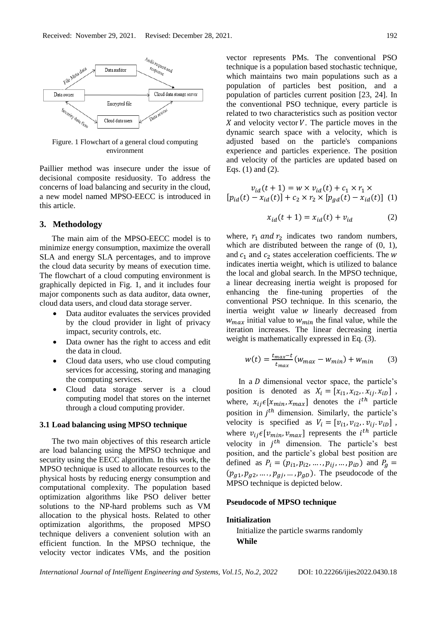

Figure. 1 Flowchart of a general cloud computing environment

Paillier method was insecure under the issue of decisional composite residuosity. To address the concerns of load balancing and security in the cloud, a new model named MPSO-EECC is introduced in this article.

## **3. Methodology**

The main aim of the MPSO-EECC model is to minimize energy consumption, maximize the overall SLA and energy SLA percentages, and to improve the cloud data security by means of execution time. The flowchart of a cloud computing environment is graphically depicted in Fig. 1, and it includes four major components such as data auditor, data owner, cloud data users, and cloud data storage server.

- Data auditor evaluates the services provided by the cloud provider in light of privacy impact, security controls, etc.
- Data owner has the right to access and edit the data in cloud.
- Cloud data users, who use cloud computing services for accessing, storing and managing the computing services.
- Cloud data storage server is a cloud computing model that stores on the internet through a cloud computing provider.

#### **3.1 Load balancing using MPSO technique**

The two main objectives of this research article are load balancing using the MPSO technique and security using the EECC algorithm. In this work, the MPSO technique is used to allocate resources to the physical hosts by reducing energy consumption and computational complexity. The population based optimization algorithms like PSO deliver better solutions to the NP-hard problems such as VM allocation to the physical hosts. Related to other optimization algorithms, the proposed MPSO technique delivers a convenient solution with an efficient function. In the MPSO technique, the velocity vector indicates VMs, and the position vector represents PMs. The conventional PSO technique is a population based stochastic technique, which maintains two main populations such as a population of particles best position, and a population of particles current position [23, 24]. In the conventional PSO technique, every particle is related to two characteristics such as position vector X and velocity vector  $V$ . The particle moves in the dynamic search space with a velocity, which is adjusted based on the particle's companions experience and particles experience. The position and velocity of the particles are updated based on Eqs. (1) and (2).

$$
v_{id}(t+1) = w \times v_{id}(t) + c_1 \times r_1 \times
$$
  
[ $p_{id}(t) - x_{id}(t)$ ] +  $c_2 \times r_2 \times [p_{gd}(t) - x_{id}(t)]$  (1)

$$
x_{id}(t+1) = x_{id}(t) + v_{id} \tag{2}
$$

where,  $r_1$  and  $r_2$  indicates two random numbers, which are distributed between the range of (0, 1), and  $c_1$  and  $c_2$  states acceleration coefficients. The w indicates inertia weight, which is utilized to balance the local and global search. In the MPSO technique, a linear decreasing inertia weight is proposed for enhancing the fine-tuning properties of the conventional PSO technique. In this scenario, the inertia weight value w linearly decreased from  $w_{max}$  initial value to  $w_{min}$  the final value, while the iteration increases. The linear decreasing inertia weight is mathematically expressed in Eq. (3).

$$
w(t) = \frac{t_{max} - t}{t_{max}} (w_{max} - w_{min}) + w_{min}
$$
 (3)

In a  $D$  dimensional vector space, the particle's position is denoted as  $X_i = [x_{i1}, x_{i2}, x_{ii}, x_{iD}]$ , where,  $x_{ij} \in [x_{min}, x_{max}]$  denotes the  $i^{th}$  particle position in  $j<sup>th</sup>$  dimension. Similarly, the particle's velocity is specified as  $V_i = [v_{i1}, v_{i2}, v_{i1}, v_{i0}]$ , where  $v_{ij} \in [v_{min}, v_{max}]$  represents the *i*<sup>th</sup> particle velocity in  $j<sup>th</sup>$  dimension. The particle's best position, and the particle's global best position are defined as  $P_i = (p_{i1}, p_{i2}, ..., p_{ij}, ..., p_{iD})$  and  $P_g =$  $(p_{g1}, p_{g2}, \ldots, p_{gj}, \ldots, p_{gD})$ . The pseudocode of the MPSO technique is depicted below.

#### **Pseudocode of MPSO technique**

# **Initialization**

 Initialize the particle swarms randomly  **While**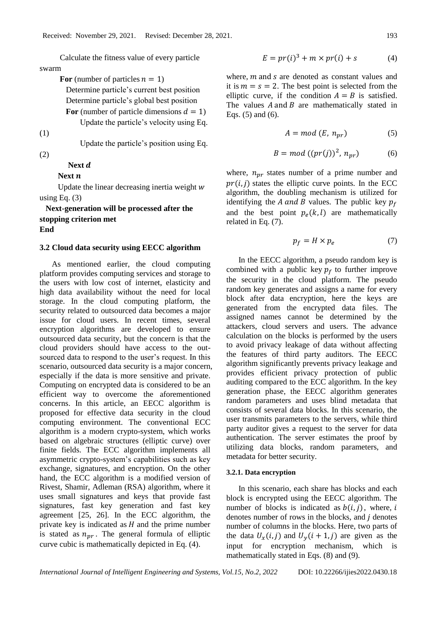Calculate the fitness value of every particle swarm

For (number of particles  $n = 1$ )

 Determine particle's current best position Determine particle's global best position

For (number of particle dimensions  $d = 1$ )

Update the particle's velocity using Eq.

(1)

Update the particle's position using Eq.

# (2)

# Next *d*

# Next *n*

Update the linear decreasing inertia weight  $w$ using Eq.  $(3)$ 

 **Next-generation will be processed after the stopping criterion met End**

## **3.2 Cloud data security using EECC algorithm**

As mentioned earlier, the cloud computing platform provides computing services and storage to the users with low cost of internet, elasticity and high data availability without the need for local storage. In the cloud computing platform, the security related to outsourced data becomes a major issue for cloud users. In recent times, several encryption algorithms are developed to ensure outsourced data security, but the concern is that the cloud providers should have access to the outsourced data to respond to the user's request. In this scenario, outsourced data security is a major concern, especially if the data is more sensitive and private. Computing on encrypted data is considered to be an efficient way to overcome the aforementioned concerns. In this article, an EECC algorithm is proposed for effective data security in the cloud computing environment. The conventional ECC algorithm is a modern crypto-system, which works based on algebraic structures (elliptic curve) over finite fields. The ECC algorithm implements all asymmetric crypto-system's capabilities such as key exchange, signatures, and encryption. On the other hand, the ECC algorithm is a modified version of Rivest, Shamir, Adleman (RSA) algorithm, where it uses small signatures and keys that provide fast signatures, fast key generation and fast key agreement [25, 26]. In the ECC algorithm, the private key is indicated as  $H$  and the prime number is stated as  $n_{pr}$ . The general formula of elliptic curve cubic is mathematically depicted in Eq. (4).

$$
E = pr(i)3 + m \times pr(i) + s
$$
 (4)

where,  $m$  and  $s$  are denoted as constant values and it is  $m = s = 2$ . The best point is selected from the elliptic curve, if the condition  $A = B$  is satisfied. The values  $A$  and  $B$  are mathematically stated in Eqs. (5) and (6).

$$
A = mod (E, n_{pr})
$$
 (5)

$$
B = mod ((pr(j))^{2}, n_{pr})
$$
 (6)

where,  $n_{nr}$  states number of a prime number and  $pr(i, j)$  states the elliptic curve points. In the ECC algorithm, the doubling mechanism is utilized for identifying the A and B values. The public key  $p_f$ and the best point  $p_e(k, l)$  are mathematically related in Eq. (7).

$$
p_f = H \times p_e \tag{7}
$$

In the EECC algorithm, a pseudo random key is combined with a public key  $p_f$  to further improve the security in the cloud platform. The pseudo random key generates and assigns a name for every block after data encryption, here the keys are generated from the encrypted data files. The assigned names cannot be determined by the attackers, cloud servers and users. The advance calculation on the blocks is performed by the users to avoid privacy leakage of data without affecting the features of third party auditors. The EECC algorithm significantly prevents privacy leakage and provides efficient privacy protection of public auditing compared to the ECC algorithm. In the key generation phase, the EECC algorithm generates random parameters and uses blind metadata that consists of several data blocks. In this scenario, the user transmits parameters to the servers, while third party auditor gives a request to the server for data authentication. The server estimates the proof by utilizing data blocks, random parameters, and metadata for better security.

#### **3.2.1. Data encryption**

In this scenario, each share has blocks and each block is encrypted using the EECC algorithm. The number of blocks is indicated as  $b(i, j)$ , where, i denotes number of rows in the blocks, and  $j$  denotes number of columns in the blocks. Here, two parts of the data  $U_x(i, j)$  and  $U_y(i + 1, j)$  are given as the input for encryption mechanism, which is mathematically stated in Eqs. (8) and (9).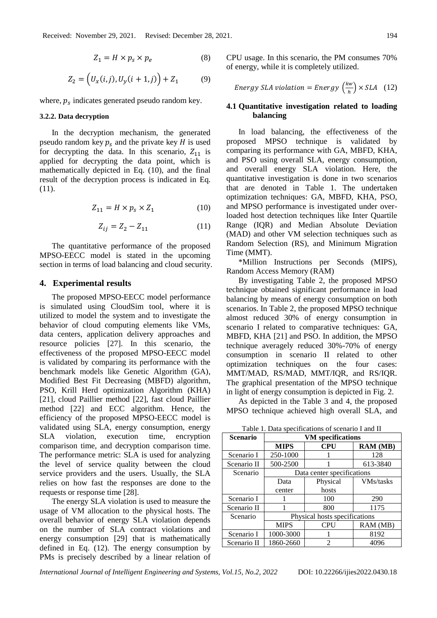$$
Z_1 = H \times p_s \times p_e \tag{8}
$$

$$
Z_2 = (U_x(i,j), U_y(i+1,j)) + Z_1 \tag{9}
$$

where,  $p_s$  indicates generated pseudo random key.

#### **3.2.2. Data decryption**

In the decryption mechanism, the generated pseudo random key  $p_s$  and the private key  $H$  is used for decrypting the data. In this scenario,  $Z_{11}$  is applied for decrypting the data point, which is mathematically depicted in Eq. (10), and the final result of the decryption process is indicated in Eq. (11).

$$
Z_{11} = H \times p_s \times Z_1 \tag{10}
$$

$$
Z_{ij} = Z_2 - Z_{11} \tag{11}
$$

The quantitative performance of the proposed MPSO-EECC model is stated in the upcoming section in terms of load balancing and cloud security.

#### **4. Experimental results**

The proposed MPSO-EECC model performance is simulated using CloudSim tool, where it is utilized to model the system and to investigate the behavior of cloud computing elements like VMs, data centers, application delivery approaches and resource policies [27]. In this scenario, the effectiveness of the proposed MPSO-EECC model is validated by comparing its performance with the benchmark models like Genetic Algorithm (GA), Modified Best Fit Decreasing (MBFD) algorithm, PSO, Krill Herd optimization Algorithm (KHA) [21], cloud Paillier method [22], fast cloud Paillier method [22] and ECC algorithm. Hence, the efficiency of the proposed MPSO-EECC model is validated using SLA, energy consumption, energy SLA violation, execution time, encryption comparison time, and decryption comparison time. The performance metric: SLA is used for analyzing the level of service quality between the cloud service providers and the users. Usually, the SLA relies on how fast the responses are done to the requests or response time [28].

The energy SLA violation is used to measure the usage of VM allocation to the physical hosts. The overall behavior of energy SLA violation depends on the number of SLA contract violations and energy consumption [29] that is mathematically defined in Eq. (12). The energy consumption by PMs is precisely described by a linear relation of CPU usage. In this scenario, the PM consumes 70% of energy, while it is completely utilized.

Energy SLA violation = Energy 
$$
\left(\frac{kw}{h}\right) \times SLA
$$
 (12)

#### **4.1 Quantitative investigation related to loading balancing**

In load balancing, the effectiveness of the proposed MPSO technique is validated by comparing its performance with GA, MBFD, KHA, and PSO using overall SLA, energy consumption, and overall energy SLA violation. Here, the quantitative investigation is done in two scenarios that are denoted in Table 1. The undertaken optimization techniques: GA, MBFD, KHA, PSO, and MPSO performance is investigated under overloaded host detection techniques like Inter Quartile Range (IQR) and Median Absolute Deviation (MAD) and other VM selection techniques such as Random Selection (RS), and Minimum Migration Time (MMT).

\*Million Instructions per Seconds (MIPS), Random Access Memory (RAM)

By investigating Table 2, the proposed MPSO technique obtained significant performance in load balancing by means of energy consumption on both scenarios. In Table 2, the proposed MPSO technique almost reduced 30% of energy consumption in scenario I related to comparative techniques: GA, MBFD, KHA [21] and PSO. In addition, the MPSO technique averagely reduced 30%-70% of energy consumption in scenario II related to other optimization techniques on the four cases: MMT/MAD, RS/MAD, MMT/IQR, and RS/IQR. The graphical presentation of the MPSO technique in light of energy consumption is depicted in Fig. 2.

As depicted in the Table 3 and 4, the proposed MPSO technique achieved high overall SLA, and

**Scenario VM specifications MIPS CPU RAM (MB)** Scenario I 250-1000 1 1 28 Scenario II | 500-2500 | 1 613-3840 Scenario Data center specifications Data center Physical hosts VMs/tasks Scenario I 1 100 290 Scenario II 1 1 800 1175 Scenario Physical hosts specifications MIPS CPU RAM (MB) Scenario I 1000-3000 1 8192 Scenario II | 1860-2660 | 2 | 4096

Table 1. Data specifications of scenario I and II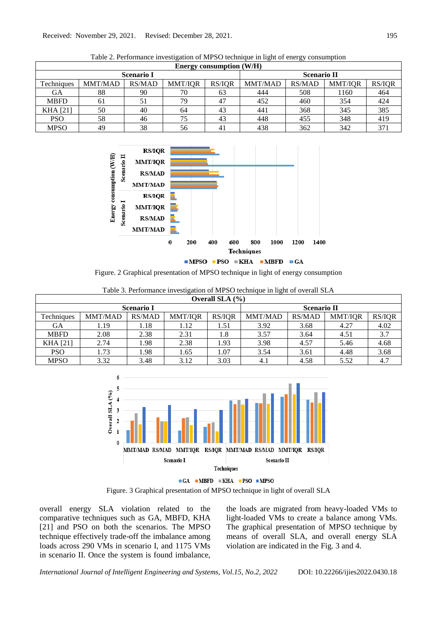|                   | <b>Energy consumption (W/H)</b> |        |                |        |                    |               |                |               |
|-------------------|---------------------------------|--------|----------------|--------|--------------------|---------------|----------------|---------------|
| <b>Scenario I</b> |                                 |        |                |        | <b>Scenario II</b> |               |                |               |
| Techniques        | <b>MMT/MAD</b>                  | RS/MAD | <b>MMT/IQR</b> | RS/IQR | <b>MMT/MAD</b>     | <b>RS/MAD</b> | <b>MMT/IQR</b> | <b>RS/IQR</b> |
| GА                | 88                              | 90     | 70             | 63     | 444                | 508           | 1160           | 464           |
| <b>MBFD</b>       | 61                              | 51     | 79             | 47     | 452                | 460           | 354            | 424           |
| <b>KHA</b> [21]   | 50                              | 40     | 64             | 43     | 441                | 368           | 345            | 385           |
| <b>PSO</b>        | 58                              | 46     | 75             | 43     | 448                | 455           | 348            | 419           |
| <b>MPSO</b>       | 49                              | 38     | 56             | 41     | 438                | 362           | 342            | 371           |

Table 2. Performance investigation of MPSO technique in light of energy consumption



Figure. 2 Graphical presentation of MPSO technique in light of energy consumption

| Overall SLA $(\% )$ |                |        |                |        |                    |               |                |               |
|---------------------|----------------|--------|----------------|--------|--------------------|---------------|----------------|---------------|
| <b>Scenario I</b>   |                |        |                |        | <b>Scenario II</b> |               |                |               |
| Techniques          | <b>MMT/MAD</b> | RS/MAD | <b>MMT/IQR</b> | RS/IQR | <b>MMT/MAD</b>     | <b>RS/MAD</b> | <b>MMT/IOR</b> | <b>RS/IQR</b> |
| GА                  | 1.19           | 1.18   | 1.12           | 1.51   | 3.92               | 3.68          | 4.27           | 4.02          |
| <b>MBFD</b>         | 2.08           | 2.38   | 2.31           | 1.8    | 3.57               | 3.64          | 4.51           | 3.7           |
| <b>KHA</b> [21]     | 2.74           | 1.98   | 2.38           | .93    | 3.98               | 4.57          | 5.46           | 4.68          |
| <b>PSO</b>          | 1.73           | 1.98   | 1.65           | 1.07   | 3.54               | 3.61          | 4.48           | 3.68          |
| <b>MPSO</b>         | 3.32           | 3.48   | 3.12           | 3.03   | 4.1                | 4.58          | 5.52           | 4.7           |

Table 3. Performance investigation of MPSO technique in light of overall SLA



 $\blacksquare$ GA  $\blacksquare$ MBFD  $\blacksquare$ KHA  $\blacksquare$ PSO  $\blacksquare$ MPSO Figure. 3 Graphical presentation of MPSO technique in light of overall SLA

overall energy SLA violation related to the comparative techniques such as GA, MBFD, KHA [21] and PSO on both the scenarios. The MPSO technique effectively trade-off the imbalance among loads across 290 VMs in scenario I, and 1175 VMs in scenario II. Once the system is found imbalance, the loads are migrated from heavy-loaded VMs to light-loaded VMs to create a balance among VMs. The graphical presentation of MPSO technique by means of overall SLA, and overall energy SLA violation are indicated in the Fig. 3 and 4.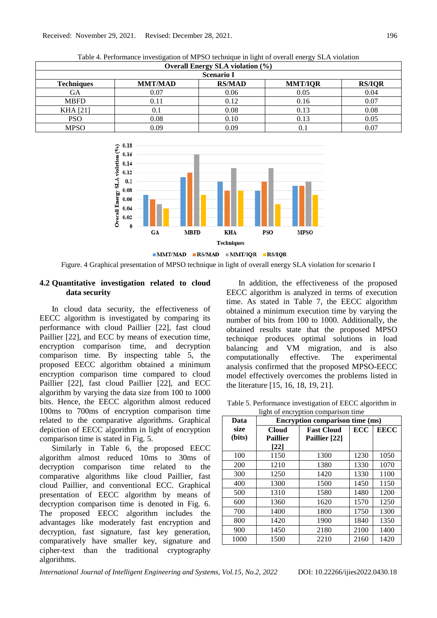|                   | $\sim$ $\sim$<br><b>Overall Energy SLA violation (%)</b> |               |                |               |  |  |
|-------------------|----------------------------------------------------------|---------------|----------------|---------------|--|--|
| <b>Scenario I</b> |                                                          |               |                |               |  |  |
| <b>Techniques</b> | <b>MMT/MAD</b>                                           | <b>RS/MAD</b> | <b>MMT/IQR</b> | <b>RS/IQR</b> |  |  |
| GА                | 0.07                                                     | 0.06          | 0.05           | 0.04          |  |  |
| <b>MBFD</b>       | 0.11                                                     | 0.12          | 0.16           | 0.07          |  |  |
| <b>KHA</b> [21]   | 0.1                                                      | 0.08          | 0.13           | 0.08          |  |  |
| <b>PSO</b>        | 0.08                                                     | 0.10          | 0.13           | 0.05          |  |  |
| MPSO              | 0.09                                                     | 0.09          | 0.1            | 0.07          |  |  |

Table 4. Performance investigation of MPSO technique in light of overall energy SLA violation



Figure. 4 Graphical presentation of MPSO technique in light of overall energy SLA violation for scenario I

## **4.2 Quantitative investigation related to cloud data security**

In cloud data security, the effectiveness of EECC algorithm is investigated by comparing its performance with cloud Paillier [22], fast cloud Paillier [22], and ECC by means of execution time, encryption comparison time, and decryption comparison time. By inspecting table 5, the proposed EECC algorithm obtained a minimum encryption comparison time compared to cloud Paillier [22], fast cloud Paillier [22], and ECC algorithm by varying the data size from 100 to 1000 bits. Hence, the EECC algorithm almost reduced 100ms to 700ms of encryption comparison time related to the comparative algorithms. Graphical depiction of EECC algorithm in light of encryption comparison time is stated in Fig. 5.

Similarly in Table 6, the proposed EECC algorithm almost reduced 10ms to 30ms of decryption comparison time related to the comparative algorithms like cloud Paillier, fast cloud Paillier, and conventional ECC. Graphical presentation of EECC algorithm by means of decryption comparison time is denoted in Fig. 6. The proposed EECC algorithm includes the advantages like moderately fast encryption and decryption, fast signature, fast key generation, comparatively have smaller key, signature and cipher-text than the traditional cryptography algorithms.

In addition, the effectiveness of the proposed EECC algorithm is analyzed in terms of execution time. As stated in Table 7, the EECC algorithm obtained a minimum execution time by varying the number of bits from 100 to 1000. Additionally, the obtained results state that the proposed MPSO technique produces optimal solutions in load balancing and VM migration, and is also computationally effective. The experimental analysis confirmed that the proposed MPSO-EECC model effectively overcomes the problems listed in the literature [15, 16, 18, 19, 21].

Table 5. Performance investigation of EECC algorithm in light of encryption comparison time

| Data   | <b>Encryption comparison time (ms)</b> |                   |            |             |  |
|--------|----------------------------------------|-------------------|------------|-------------|--|
| size   | <b>Cloud</b>                           | <b>Fast Cloud</b> | <b>ECC</b> | <b>EECC</b> |  |
| (bits) | <b>Paillier</b>                        | Paillier [22]     |            |             |  |
|        | [22]                                   |                   |            |             |  |
| 100    | 1150                                   | 1300              | 1230       | 1050        |  |
| 200    | 1210                                   | 1380              | 1330       | 1070        |  |
| 300    | 1250                                   | 1420              | 1330       | 1100        |  |
| 400    | 1300                                   | 1500              | 1450       | 1150        |  |
| 500    | 1310                                   | 1580              | 1480       | 1200        |  |
| 600    | 1360                                   | 1620              | 1570       | 1250        |  |
| 700    | 1400                                   | 1800              | 1750       | 1300        |  |
| 800    | 1420                                   | 1900              | 1840       | 1350        |  |
| 900    | 1450                                   | 2180              | 2100       | 1400        |  |
| 1000   | 1500                                   | 2210              | 2160       | 1420        |  |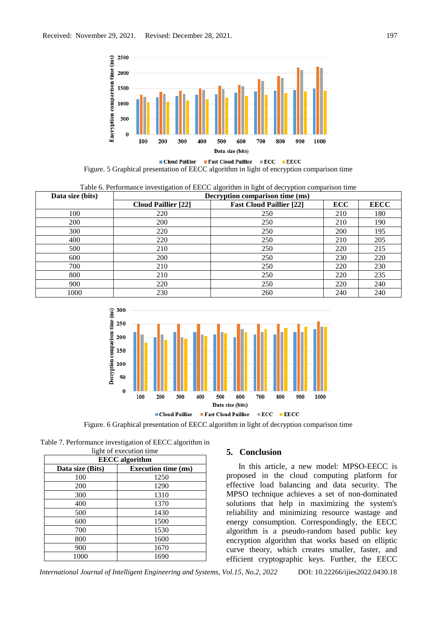

■ Cloud Paillier ■ Fast Cloud Paillier ■ ECC ■ EECC Figure. 5 Graphical presentation of EECC algorithm in light of encryption comparison time

|  |  |  | Table 6. Performance investigation of EECC algorithm in light of decryption comparison time |
|--|--|--|---------------------------------------------------------------------------------------------|
|  |  |  |                                                                                             |

| Data size (bits)<br>Decryption comparison time (ms) |                            |                                 |            |             |
|-----------------------------------------------------|----------------------------|---------------------------------|------------|-------------|
|                                                     | <b>Cloud Paillier [22]</b> | <b>Fast Cloud Paillier [22]</b> | <b>ECC</b> | <b>EECC</b> |
| 100                                                 | 220                        | 250                             | 210        | 180         |
| 200                                                 | 200                        | 250                             | 210        | 190         |
| 300                                                 | 220                        | 250                             | 200        | 195         |
| 400                                                 | 220                        | 250                             | 210        | 205         |
| 500                                                 | 210                        | 250                             | 220        | 215         |
| 600                                                 | 200                        | 250                             | 230        | 220         |
| 700                                                 | 210                        | 250                             | 220        | 230         |
| 800                                                 | 210                        | 250                             | 220        | 235         |
| 900                                                 | 220                        | 250                             | 220        | 240         |
| 1000                                                | 230                        | 260                             | 240        | 240         |



Figure. 6 Graphical presentation of EECC algorithm in light of decryption comparison time

| Table 7. Performance investigation of EECC algorithm in |                        |  |
|---------------------------------------------------------|------------------------|--|
|                                                         | light of oxequion time |  |

| <b>EECC</b> algorithm |                            |  |  |  |
|-----------------------|----------------------------|--|--|--|
| Data size (Bits)      | <b>Execution time (ms)</b> |  |  |  |
| 100                   | 1250                       |  |  |  |
| 200                   | 1290                       |  |  |  |
| 300                   | 1310                       |  |  |  |
| 400                   | 1370                       |  |  |  |
| 500                   | 1430                       |  |  |  |
| 600                   | 1500                       |  |  |  |
| 700                   | 1530                       |  |  |  |
| 800                   | 1600                       |  |  |  |
| 900                   | 1670                       |  |  |  |
| 1000                  | 1690                       |  |  |  |

#### **5. Conclusion**

In this article, a new model: MPSO-EECC is proposed in the cloud computing platform for effective load balancing and data security. The MPSO technique achieves a set of non-dominated solutions that help in maximizing the system's reliability and minimizing resource wastage and energy consumption. Correspondingly, the EECC algorithm is a pseudo-random based public key encryption algorithm that works based on elliptic curve theory, which creates smaller, faster, and efficient cryptographic keys. Further, the EECC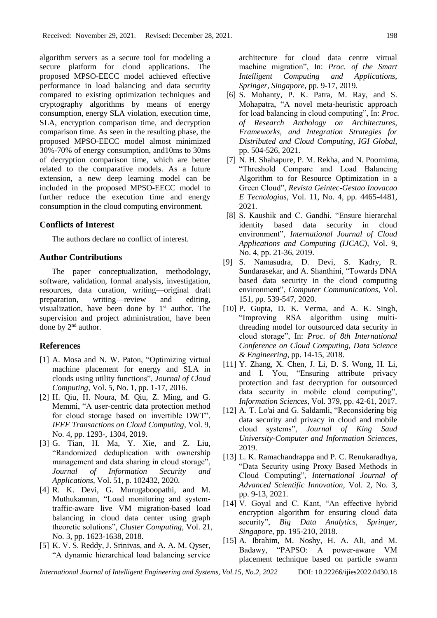algorithm servers as a secure tool for modeling a secure platform for cloud applications. The proposed MPSO-EECC model achieved effective performance in load balancing and data security compared to existing optimization techniques and cryptography algorithms by means of energy consumption, energy SLA violation, execution time, SLA, encryption comparison time, and decryption comparison time. As seen in the resulting phase, the proposed MPSO-EECC model almost minimized 30%-70% of energy consumption, and10ms to 30ms of decryption comparison time, which are better related to the comparative models. As a future extension, a new deep learning model can be included in the proposed MPSO-EECC model to further reduce the execution time and energy consumption in the cloud computing environment.

#### **Conflicts of Interest**

The authors declare no conflict of interest.

#### **Author Contributions**

The paper conceptualization, methodology, software, validation, formal analysis, investigation, resources, data curation, writing—original draft preparation, writing—review and editing, visualization, have been done by  $1<sup>st</sup>$  author. The supervision and project administration, have been done by 2<sup>nd</sup> author.

## **References**

- [1] A. Mosa and N. W. Paton, "Optimizing virtual machine placement for energy and SLA in clouds using utility functions", *Journal of Cloud Computing*, Vol. 5, No. 1, pp. 1-17, 2016.
- [2] H. Qiu, H. Noura, M. Qiu, Z. Ming, and G. Memmi, "A user-centric data protection method for cloud storage based on invertible DWT", *IEEE Transactions on Cloud Computing*, Vol. 9, No. 4, pp. 1293-, 1304, 2019.
- [3] G. Tian, H. Ma, Y. Xie, and Z. Liu, "Randomized deduplication with ownership management and data sharing in cloud storage", *Journal of Information Security and Applications*, Vol. 51, p. 102432, 2020.
- [4] R. K. Devi, G. Murugaboopathi, and M. Muthukannan, "Load monitoring and systemtraffic-aware live VM migration-based load balancing in cloud data center using graph theoretic solutions", *Cluster Computing*, Vol. 21, No. 3, pp. 1623-1638, 2018.
- [5] K. V. S. Reddy, J. Srinivas, and A. A. M. Qyser, "A dynamic hierarchical load balancing service

architecture for cloud data centre virtual machine migration", In: *Proc. of the Smart Intelligent Computing and Applications, Springer, Singapore*, pp. 9-17, 2019.

- [6] S. Mohanty, P. K. Patra, M. Ray, and S. Mohapatra, "A novel meta-heuristic approach for load balancing in cloud computing", In: *Proc. of Research Anthology on Architectures, Frameworks, and Integration Strategies for Distributed and Cloud Computing, IGI Global*, pp. 504-526, 2021.
- [7] N. H. Shahapure, P. M. Rekha, and N. Poornima, "Threshold Compare and Load Balancing Algorithm to for Resource Optimization in a Green Cloud", *Revista Geintec-Gestao Inovacao E Tecnologias*, Vol. 11, No. 4, pp. 4465-4481, 2021.
- [8] S. Kaushik and C. Gandhi, "Ensure hierarchal identity based data security in cloud environment", *International Journal of Cloud Applications and Computing (IJCAC)*, Vol. 9, No. 4, pp. 21-36, 2019.
- [9] S. Namasudra, D. Devi, S. Kadry, R. Sundarasekar, and A. Shanthini, "Towards DNA based data security in the cloud computing environment", *Computer Communications*, Vol. 151, pp. 539-547, 2020.
- [10] P. Gupta, D. K. Verma, and A. K. Singh, "Improving RSA algorithm using multithreading model for outsourced data security in cloud storage", In: *Proc. of 8th International Conference on Cloud Computing, Data Science & Engineering*, pp. 14-15, 2018.
- [11] Y. Zhang, X. Chen, J. Li, D. S. Wong, H. Li, and I. You, "Ensuring attribute privacy protection and fast decryption for outsourced data security in mobile cloud computing", *Information Sciences*, Vol. 379, pp. 42-61, 2017.
- [12] A. T. Lo'ai and G. Saldamli, "Reconsidering big data security and privacy in cloud and mobile cloud systems", *Journal of King Saud University-Computer and Information Sciences*, 2019.
- [13] L. K. Ramachandrappa and P. C. Renukaradhya, "Data Security using Proxy Based Methods in Cloud Computing", *International Journal of Advanced Scientific Innovation*, Vol. 2, No. 3, pp. 9-13, 2021.
- [14] V. Goyal and C. Kant, "An effective hybrid encryption algorithm for ensuring cloud data security", *Big Data Analytics, Springer, Singapore*, pp. 195-210, 2018.
- [15] A. Ibrahim, M. Noshy, H. A. Ali, and M. Badawy, "PAPSO: A power-aware VM placement technique based on particle swarm